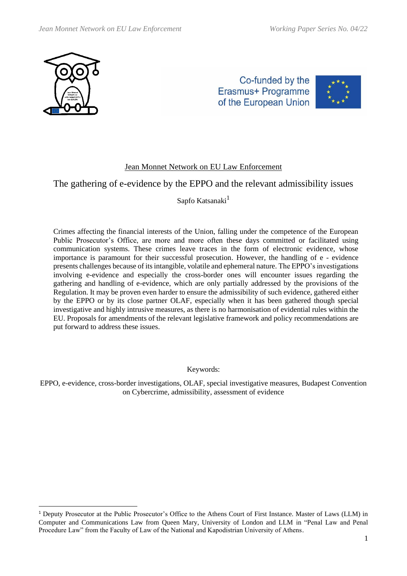

Co-funded by the Erasmus+ Programme of the European Union



## Jean Monnet Network on EU Law Enforcement

# The gathering of e-evidence by the EPPO and the relevant admissibility issues

Sapfo Katsanaki<sup>1</sup>

Crimes affecting the financial interests of the Union, falling under the competence of the European Public Prosecutor's Office, are more and more often these days committed or facilitated using communication systems. These crimes leave traces in the form of electronic evidence, whose importance is paramount for their successful prosecution. However, the handling of e - evidence presents challenges because of its intangible, volatile and ephemeral nature. The EPPO's investigations involving e-evidence and especially the cross-border ones will encounter issues regarding the gathering and handling of e-evidence, which are only partially addressed by the provisions of the Regulation. It may be proven even harder to ensure the admissibility of such evidence, gathered either by the EPPO or by its close partner OLAF, especially when it has been gathered though special investigative and highly intrusive measures, as there is no harmonisation of evidential rules within the EU. Proposals for amendments of the relevant legislative framework and policy recommendations are put forward to address these issues.

Keywords:

EPPO, e-evidence, cross-border investigations, OLAF, special investigative measures, Budapest Convention on Cybercrime, admissibility, assessment of evidence

<sup>1</sup> Deputy Prosecutor at the Public Prosecutor's Office to the Athens Court of First Instance. Master of Laws (LLM) in Computer and Communications Law from Queen Mary, University of London and LLM in "Penal Law and Penal Procedure Law" from the Faculty of Law of the National and Kapodistrian University of Athens.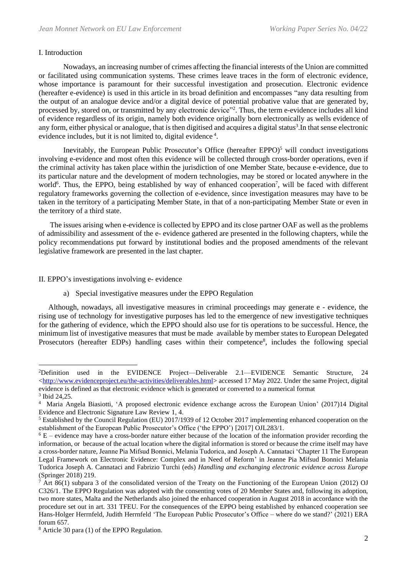#### Ι. Introduction

Nowadays, an increasing number of crimes affecting the financial interests of the Union are committed or facilitated using communication systems. These crimes leave traces in the form of electronic evidence, whose importance is paramount for their successful investigation and prosecution. Electronic evidence (hereafter e-evidence) is used in this article in its broad definition and encompasses "any data resulting from the output of an analogue device and/or a digital device of potential probative value that are generated by, processed by, stored on, or transmitted by any electronic device"<sup>2</sup>. Thus, the term e-evidence includes all kind of evidence regardless of its origin, namely both evidence originally born electronically as wells evidence of any form, either physical or analogue, that is then digitised and acquires a digital status<sup>3</sup>. In that sense electronic evidence includes, but it is not limited to, digital evidence<sup>4</sup>.

Inevitably, the European Public Prosecutor's Office (hereafter EPPO) $<sup>5</sup>$  will conduct investigations</sup> involving e-evidence and most often this evidence will be collected through cross-border operations, even if the criminal activity has taken place within the jurisdiction of one Member State, because e-evidence, due to its particular nature and the development of modern technologies, may be stored or located anywhere in the world<sup>6</sup>. Thus, the EPPO, being established by way of enhanced cooperation<sup>7</sup>, will be faced with different regulatory frameworks governing the collection of e-evidence, since investigation measures may have to be taken in the territory of a participating Member State, in that of a non-participating Member State or even in the territory of a third state.

 The issues arising when e-evidence is collected by EPPO and its close partner OAF as well as the problems of admissibility and assessment of the e- evidence gathered are presented in the following chapters, while the policy recommendations put forward by institutional bodies and the proposed amendments of the relevant legislative framework are presented in the last chapter.

#### II. EPPO's investigations involving e- evidence

a) Special investigative measures under the EPPO Regulation

Although, nowadays, all investigative measures in criminal proceedings may generate e - evidence, the rising use of technology for investigative purposes has led to the emergence of new investigative techniques for the gathering of evidence, which the EPPO should also use for tis operations to be successful. Hence, the minimum list of investigative measures that must be made available by member states to European Delegated Prosecutors (hereafter EDPs) handling cases within their competence<sup>8</sup>, includes the following special

<sup>2</sup>Definition used in the EVIDENCE Project—Deliverable 2.1—EVIDENCE Semantic Structure, 24 [<http://www.evidenceproject.eu/the-activities/deliverables.html>](http://www.evidenceproject.eu/the-activities/deliverables.html) accessed 17 May 2022. Under the same Project, digital evidence is defined as that electronic evidence which is generated or converted to a numerical format 3 Ibid 24,25.

<sup>4</sup> Maria Angela Biasiotti, 'A proposed electronic evidence exchange across the European Union' (2017)14 Digital Evidence and Electronic Signature Law Review 1, 4.

<sup>5</sup> Established by the Council Regulation (EU) 2017/1939 of 12 October 2017 implementing enhanced cooperation on the establishment of the European Public Prosecutor's Office ('the EPPO') [2017] OJL283/1.

 $6$  E – evidence may have a cross-border nature either because of the location of the information provider recording the information, or because of the actual location where the digital information is stored or because the crime itself may have a cross-border nature, Jeanne Pia Mifsud Bonnici, Melania Tudorica, and Joseph A. Cannataci 'Chapter 11 The European Legal Framework on Electronic Evidence: Complex and in Need of Reform' in Jeanne Pia Mifsud Bonnici Melania Tudorica Joseph A. Cannataci and Fabrizio Turchi (eds) *Handling and exchanging electronic evidence across Europe*  (Springer 2018) 219.

 $\overline{7}$  Art 86(1) subpara 3 of the consolidated version of the Treaty on the Functioning of the European Union (2012) OJ C326/1. The EPPO Regulation was adopted with the consenting votes of 20 Member States and, following its adoption, two more states, Malta and the Netherlands also joined the enhanced cooperation in August 2018 in accordance with the procedure set out in art. 331 TFEU. For the consequences of the EPPO being established by enhanced cooperation see Hans-Holger Herrnfeld, Judith Herrnfeld 'The European Public Prosecutor's Office – where do we stand?' (2021) ERA forum 657.

<sup>8</sup> Article 30 para (1) of the EPPO Regulation.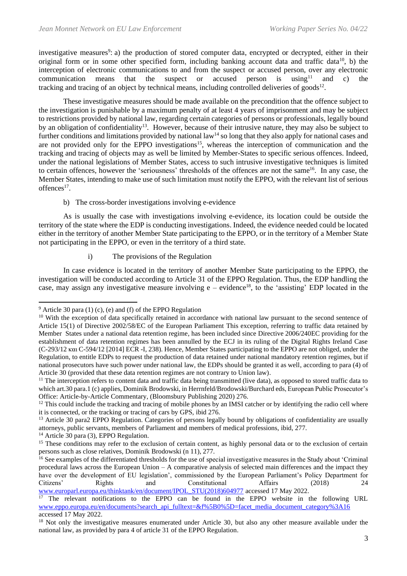investigative measures<sup>9</sup>: a) the production of stored computer data, encrypted or decrypted, either in their original form or in some other specified form, including banking account data and traffic data<sup>10</sup>, b) the interception of electronic communications to and from the suspect or accused person, over any electronic communication means that the suspect or accused person is using<sup>11</sup> and c) the communication means that the suspect or accused person is using  $11$  and c) the tracking and tracing of an object by technical means, including controlled deliveries of goods $^{12}$ .

These investigative measures should be made available on the precondition that the offence subject to the investigation is punishable by a maximum penalty of at least 4 years of imprisonment and may be subject to restrictions provided by national law, regarding certain categories of persons or professionals, legally bound by an obligation of confidentiality<sup>13</sup>. However, because of their intrusive nature, they may also be subject to further conditions and limitations provided by national law<sup>14</sup> so long that they also apply for national cases and are not provided only for the EPPO investigations<sup>15</sup>, whereas the interception of communication and the tracking and tracing of objects may as well be limited by Member-States to specific serious offences. Indeed, under the national legislations of Member States, access to such intrusive investigative techniques is limited to certain offences, however the 'seriousness' thresholds of the offences are not the same<sup>16</sup>. In any case, the Member States, intending to make use of such limitation must notify the EPPO, with the relevant list of serious offences<sup>17</sup>.

## b) The cross-border investigations involving e-evidence

As is usually the case with investigations involving e-evidence, its location could be outside the territory of the state where the EDP is conducting investigations. Indeed, the evidence needed could be located either in the territory of another Member State participating to the EPPO, or in the territory of a Member State not participating in the EPPO, or even in the territory of a third state.

i) The provisions of the Regulation

In case evidence is located in the territory of another Member State participating to the EPPO, the investigation will be conducted according to Article 31 of the EPPO Regulation. Thus, the EDP handling the case, may assign any investigative measure involving  $e$  – evidence<sup>18</sup>, to the 'assisting' EDP located in the

<sup>14</sup> Article 30 para (3), EPPO Regulation.

 $9$  Article 30 para (1) (c), (e) and (f) of the EPPO Regulation

<sup>&</sup>lt;sup>10</sup> With the exception of data specifically retained in accordance with national law pursuant to the second sentence of Article 15(1) of Directive 2002/58/EC of the European Parliament This exception, referring to traffic data retained by Member States under a national data retention regime, has been included since Directive 2006/240EC providing for the establishment of data retention regimes has been annulled by the ECJ in its ruling of the Digital Rights Ireland Case (C-293/12 και C-594/12 [2014] ECR -I, 238). Hence, Member States participating to the EPPO are not obliged, under the Regulation, to entitle EDPs to request the production of data retained under national mandatory retention regimes, but if national prosecutors have such power under national law, the EDPs should be granted it as well, according to para (4) of Article 30 (provided that these data retention regimes are not contrary to Union law).

 $11$  The interception refers to content data and traffic data being transmitted (live data), as opposed to stored traffic data to which art.30 para.1 (c) applies, Dominik Brodowski, in Herrnfeld/Brodowski/Burchard eds, European Public Prosecutor's Office: Article-by-Article Commentary, (Bloomsbury Publishing 2020) 276.

 $12$  This could include the tracking and tracing of mobile phones by an IMSI catcher or by identifying the radio cell where it is connected, or the tracking or tracing of cars by GPS, ibid 276.

<sup>&</sup>lt;sup>13</sup> Article 30 para2 EPPO Regulation. Categories of persons legally bound by obligations of confidentiality are usually attorneys, public servants, members of Parliament and members of medical professions, ibid, 277.

<sup>&</sup>lt;sup>15</sup> These conditions may refer to the exclusion of certain content, as highly personal data or to the exclusion of certain persons such as close relatives, Dominik Brodowski (n 11), 277.

<sup>&</sup>lt;sup>16</sup> See examples of the differentiated thresholds for the use of special investigative measures in the Study about 'Criminal' procedural laws across the European Union – A comparative analysis of selected main differences and the impact they have over the development of EU legislation', commissioned by the European Parliament's Policy Department for Citizens' Rights and Constitutional Affairs (2018) 24 [www.europarl.europa.eu/thinktank/en/document/IPOL\\_STU\(2018\)604977](http://www.europarl.europa.eu/thinktank/en/document/IPOL_STU(2018)604977) accessed 17 May 2022.

 $17$  The relevant notifications to the EPPO can be found in the EPPO website in the following URL [www.eppo.europa.eu/en/documents?search\\_api\\_fulltext=&f%5B0%5D=facet\\_media\\_document\\_category%3A16](http://www.eppo.europa.eu/en/documents?search_api_fulltext=&f%5B0%5D=facet_media_document_category%3A16) accessed 17 May 2022.

<sup>&</sup>lt;sup>18</sup> Not only the investigative measures enumerated under Article 30, but also any other measure available under the national law, as provided by para 4 of article 31 of the EPPO Regulation.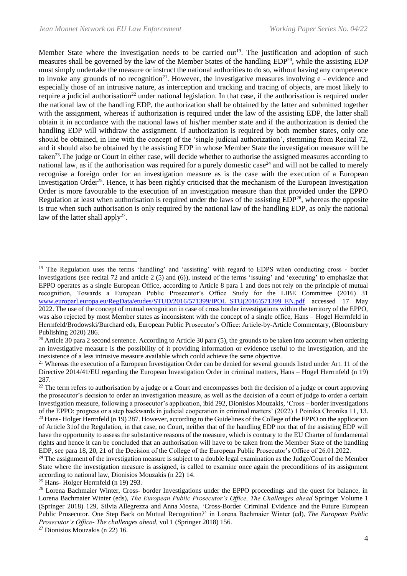Member State where the investigation needs to be carried out<sup>19</sup>. The justification and adoption of such measures shall be governed by the law of the Member States of the handling EDP<sup>20</sup>, while the assisting EDP must simply undertake the measure or instruct the national authorities to do so, without having any competence to invoke any grounds of no recognition<sup>21</sup>. However, the investigative measures involving  $e$  - evidence and especially those of an intrusive nature, as interception and tracking and tracing of objects, are most likely to require a judicial authorisation<sup>22</sup> under national legislation. In that case, if the authorisation is required under the national law of the handling EDP, the authorization shall be obtained by the latter and submitted together with the assignment, whereas if authorization is required under the law of the assisting EDP, the latter shall obtain it in accordance with the national laws of his/her member state and if the authorization is denied the handling EDP will withdraw the assignment. If authorization is required by both member states, only one should be obtained, in line with the concept of the 'single judicial authorization', stemming from Recital 72, and it should also be obtained by the assisting EDP in whose Member State the investigation measure will be taken<sup>23</sup>. The judge or Court in either case, will decide whether to authorise the assigned measures according to national law, as if the authorisation was required for a purely domestic case<sup>24</sup> and will not be called to merely recognise a foreign order for an investigation measure as is the case with the execution of a European Investigation Order<sup>25</sup>. Hence, it has been rightly criticised that the mechanism of the European Investigation Order is more favourable to the execution of an investigation measure than that provided under the EPPO Regulation at least when authorisation is required under the laws of the assisting  $EDP^{26}$ , whereas the opposite is true when such authorisation is only required by the national law of the handling EDP, as only the national law of the latter shall apply<sup>27</sup>.

<sup>25</sup> Hans- Holger Herrnfeld (n 19) 293.

<sup>27</sup> Dionisios Mouzakis (n 22) 16.

<sup>&</sup>lt;sup>19</sup> The Regulation uses the terms 'handling' and 'assisting' with regard to EDPS when conducting cross - border investigations (see recital 72 and article 2 (5) and (6)), instead of the terms 'issuing' and 'executing' to emphasize that EPPO operates as a single European Office, according to Article 8 para 1 and does not rely on the principle of mutual recognition, Towards a European Public Prosecutor's Office Study for the LIBE Committee (2016) 31 [www.europarl.europa.eu/RegData/etudes/STUD/2016/571399/IPOL\\_STU\(2016\)571399\\_EN.pdf](http://www.europarl.europa.eu/RegData/etudes/STUD/2016/571399/IPOL_STU(2016)571399_EN.pdf) accessed 17 May 2022. The use of the concept of mutual recognition in case of cross border investigations within the territory of the EPPO, was also rejected by most Member states as inconsistent with the concept of a single office, Hans – Hogel Herrnfeld in Herrnfeld/Brodowski/Burchard eds, European Public Prosecutor's Office: Article-by-Article Commentary, (Bloomsbury Publishing 2020) 286.

 $20$  Article 30 para 2 second sentence. According to Article 30 para (5), the grounds to be taken into account when ordering an investigative measure is the possibility of it providing information or evidence useful to the investigation, and the inexistence of a less intrusive measure available which could achieve the same objective.

<sup>&</sup>lt;sup>21</sup> Whereas the execution of a European Investigation Order can be denied for several grounds listed under Art. 11 of the Directive 2014/41/EU regarding the European Investigation Order in criminal matters, Hans – Hogel Herrrnfeld (n 19) 287.

<sup>&</sup>lt;sup>22</sup> The term refers to authorisation by a judge or a Court and encompasses both the decision of a judge or court approving the prosecutor's decision to order an investigation measure, as well as the decision of a court of judge to order a certain investigation measure, following a prosecutor's application, ibid 292, Dionisios Mouzakis, 'Cross – border investigations of the EPPO: progress or a step backwards in judicial cooperation in criminal matters' (2022) 1 Poinika Chronika 11, 13. <sup>23</sup> Hans- Holger Herrnfeld (n 19) 287. However, according to the Guidelines of the College of the EPPO on the application of Article 31of the Regulation, in that case, no Court, neither that of the handling EDP nor that of the assisting EDP will have the opportunity to assess the substantive reasons of the measure, which is contrary to the EU Charter of fundamental rights and hence it can be concluded that an authorisation will have to be taken from the Member State of the handling EDP, see para 18, 20, 21 of the Decision of the College of the European Public Prosecutor's Office of 26.01.2022.

<sup>&</sup>lt;sup>24</sup> The assignment of the investigation measure is subject to a double legal examination as the Judge/Court of the Member State where the investigation measure is assigned, is called to examine once again the preconditions of its assignment according to national law, Dionisios Mouzakis (n 22) 14.

<sup>&</sup>lt;sup>26</sup> Lorena Bachmaier Winter, Cross- border Investigations under the EPPO proceedings and the quest for balance, in Lorena Bachmaier Winter (eds), *The European Public Prosecutor's Office, The Challenges ahead* Springer Volume 1 (Springer 2018) 129, Silvia Allegrezza and Anna Mosna, 'Cross-Border Criminal Evidence and the Future European Public Prosecutor. One Step Back on Mutual Recognition?' in Lorena Bachmaier Winter (ed), *The European Public Prosecutor's Office- The challenges ahead,* vol 1 (Springer 2018) 156.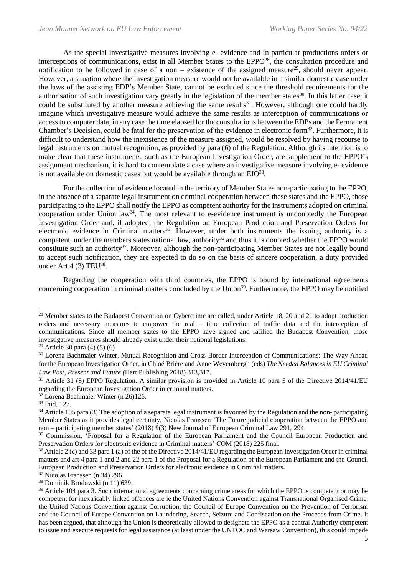As the special investigative measures involving e- evidence and in particular productions orders or interceptions of communications, exist in all Member States to the EPPO<sup>28</sup>, the consultation procedure and notification to be followed in case of a non – existence of the assigned measure<sup>29</sup>, should never appear. However, a situation where the investigation measure would not be available in a similar domestic case under the laws of the assisting EDP's Member State, cannot be excluded since the threshold requirements for the authorisation of such investigation vary greatly in the legislation of the member states<sup>30</sup>. In this latter case, it could be substituted by another measure achieving the same results<sup>31</sup>. However, although one could hardly imagine which investigative measure would achieve the same results as interception of communications or access to computer data, in any case the time elapsed for the consultations between the EDPs and the Permanent Chamber's Decision, could be fatal for the preservation of the evidence in electronic form<sup>32</sup>. Furthermore, it is difficult to understand how the inexistence of the measure assigned, would be resolved by having recourse to legal instruments on mutual recognition, as provided by para (6) of the Regulation. Although its intention is to make clear that these instruments, such as the European Investigation Order, are supplement to the EPPO's assignment mechanism, it is hard to contemplate a case where an investigative measure involving e- evidence is not available on domestic cases but would be available through an  $EIO^{33}$ .

For the collection of evidence located in the territory of Member States non-participating to the EPPO, in the absence of a separate legal instrument on criminal cooperation between these states and the EPPO, those participating to the EPPO shall notify the EPPO as competent authority for the instruments adopted on criminal cooperation under Union  $law<sup>34</sup>$ . The most relevant to e-evidence instrument is undoubtedly the European Investigation Order and, if adopted, the Regulation on European Production and Preservation Orders for electronic evidence in Criminal matters<sup>35</sup>. However, under both instruments the issuing authority is a competent, under the members states national law, authority<sup>36</sup> and thus it is doubted whether the EPPO would constitute such an authority<sup>37</sup>. Moreover, although the non-participating Member States are not legally bound to accept such notification, they are expected to do so on the basis of sincere cooperation, a duty provided under Art.4  $(3)$  TEU<sup>38</sup>.

Regarding the cooperation with third countries, the EPPO is bound by international agreements concerning cooperation in criminal matters concluded by the Union<sup>39</sup>. Furthermore, the EPPO may be notified

<sup>&</sup>lt;sup>28</sup> Member states to the Budapest Convention on Cybercrime are called, under Article 18, 20 and 21 to adopt production orders and necessary measures to empower the real – time collection of traffic data and the interception of communications. Since all member states to the EPPO have signed and ratified the Budapest Convention, those investigative measures should already exist under their national legislations.

<sup>&</sup>lt;sup>29</sup> Article 30 para (4) (5) (6)

<sup>30</sup> Lorena Bachmaier Winter, Mutual Recognition and Cross-Border Interception of Communications: The Way Ahead for the European Investigation Order, in Chloé Brière and Anne Weyembergh (eds) *The Needed Balances in EU Criminal Law Past, Present and Future (*Hart Publishing 2018) 313,317.

<sup>&</sup>lt;sup>31</sup> Article 31 (8) EPPO Regulation. A similar provision is provided in Article 10 para 5 of the Directive 2014/41/EU regarding the European Investigation Order in criminal matters.

<sup>32</sup> Lorena Bachmaier Winter (n 26)126.

<sup>33</sup> Ibid, 127.

<sup>&</sup>lt;sup>34</sup> Article 105 para (3) The adoption of a separate legal instrument is favoured by the Regulation and the non-participating Μember States as it provides legal certainty, Nicolas Franssen 'The Future judicial cooperation between the EPPO and non – participating member states' (2018) 9(3) New Journal of European Criminal Law 291, 294.

<sup>35</sup> Commission, 'Proposal for a Regulation of the European Parliament and the Council European Production and Preservation Orders for electronic evidence in Criminal matters' COM (2018) 225 final.

 $36$  Article 2 (c) and 33 para 1 (a) of the of the Directive 2014/41/EU regarding the European Investigation Order in criminal matters and art 4 para 1 and 2 and 22 para 1 of the Proposal for a Regulation of the European Parliament and the Council European Production and Preservation Orders for electronic evidence in Criminal matters.

<sup>37</sup> Nicolas Franssen (n 34) 296.

<sup>38</sup> Dominik Brodowski (n 11) 639.

<sup>&</sup>lt;sup>39</sup> Article 104 para 3. Such international agreements concerning crime areas for which the EPPO is competent or may be competent for inextricably linked offences are ie the United Nations Convention against Transnational Organised Crime, the United Nations Convention against Corruption, the Council of Europe Convention on the Prevention of Terrorism and the Council of Europe Convention on Laundering, Search, Seizure and Confiscation on the Proceeds from Crime. It has been argued, that although the Union is theoretically allowed to designate the EPPO as a central Authority competent to issue and execute requests for legal assistance (at least under the UNTOC and Warsaw Convention), this could impede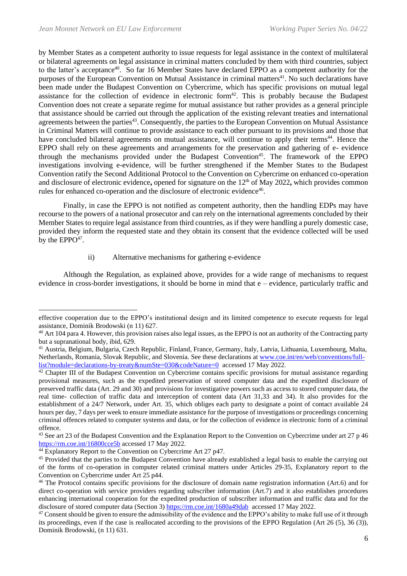by Member States as a competent authority to issue requests for legal assistance in the context of multilateral or bilateral agreements on legal assistance in criminal matters concluded by them with third countries, subject to the latter's acceptance<sup>40</sup>. So far 16 Member States have declared EPPO as a competent authority for the purposes of the European Convention on Mutual Assistance in criminal matters<sup>41</sup>. No such declarations have been made under the Budapest Convention on Cybercrime, which has specific provisions on mutual legal assistance for the collection of evidence in electronic form<sup>42</sup>. This is probably because the Budapest Convention does not create a separate regime for mutual assistance but rather provides as a general principle that assistance should be carried out through the application of the existing relevant treaties and international agreements between the parties<sup>43</sup>. Consequently, the parties to the European Convention on Mutual Assistance in Criminal Matters will continue to provide assistance to each other pursuant to its provisions and those that have concluded bilateral agreements on mutual assistance, will continue to apply their terms<sup>44</sup>. Hence the EPPO shall rely on these agreements and arrangements for the preservation and gathering of e- evidence through the mechanisms provided under the Budapest Convention<sup>45</sup>. The framework of the EPPO investigations involving e-evidence, will be further strengthened if the Member States to the Budapest Convention ratify the Second Additional Protocol to the Convention on Cybercrime on enhanced co-operation and disclosure of electronic evidence, opened for signature on the 12<sup>th</sup> of May 2022, which provides common rules for enhanced co-operation and the disclosure of electronic evidence<sup>46</sup>.

Finally, in case the EPPO is not notified as competent authority, then the handling EDPs may have recourse to the powers of a national prosecutor and can rely on the international agreements concluded by their Member States to require legal assistance from third countries, as if they were handling a purely domestic case, provided they inform the requested state and they obtain its consent that the evidence collected will be used by the  $EPPO<sup>47</sup>$ .

### ii) Alternative mechanisms for gathering e-evidence

Although the Regulation, as explained above, provides for a wide range of mechanisms to request evidence in cross-border investigations, it should be borne in mind that e – evidence, particularly traffic and

effective cooperation due to the EPPO's institutional design and its limited competence to execute requests for legal assistance, Dominik Brodowski (n 11) 627.

<sup>&</sup>lt;sup>40</sup> Art 104 para 4. However, this provision raises also legal issues, as the EPPO is not an authority of the Contracting party but a supranational body, ibid, 629.

<sup>41</sup> Austria, Belgium, Bulgaria, Czech Republic, Finland, France, Germany, Italy, Latvia, Lithuania, Luxembourg, Malta, Netherlands, Romania, Slovak Republic, and Slovenia. See these declarations at [www.coe.int/en/web/conventions/full](http://www.coe.int/en/web/conventions/full-list?module=declarations-by-treaty&numSte=030&codeNature=0)[list?module=declarations-by-treaty&numSte=030&codeNature=0](http://www.coe.int/en/web/conventions/full-list?module=declarations-by-treaty&numSte=030&codeNature=0) accessed 17 May 2022.

 $42$  Chapter III of the Budapest Convention on Cybercrime contains specific provisions for mutual assistance regarding provisional measures, such as the expedited preservation of stored computer data and the expedited disclosure of preserved traffic data (Art. 29 and 30) and provisions for investigative powers such as access to stored computer data, the real time- collection of traffic data and interception of content data (Art 31,33 and 34). It also provides for the establishment of a 24/7 Network, under Art. 35, which obliges each party to designate a point of contact available 24 hours per day, 7 days per week to ensure immediate assistance for the purpose of investigations or proceedings concerning criminal offences related to computer systems and data, or for the collection of evidence in electronic form of a criminal offence.

<sup>&</sup>lt;sup>43</sup> See art 23 of the Budapest Convention and the Explanation Report to the Convention on Cybercrime under art 27 p 46 <https://rm.coe.int/16800cce5b> accessed 17 May 2022.

<sup>44</sup> Explanatory Report to the Convention on Cybercrime Art 27 p47.

<sup>&</sup>lt;sup>45</sup> Provided that the parties to the Budapest Convention have already established a legal basis to enable the carrying out of the forms of co-operation in computer related criminal matters under Articles 29-35, Explanatory report to the Convention on Cybercrime under Art 25 p44.

<sup>&</sup>lt;sup>46</sup> The Protocol contains specific provisions for the disclosure of domain name registration information (Art.6) and for direct co-operation with service providers regarding subscriber information (Art.7) and it also establishes procedures enhancing international cooperation for the expedited production of subscriber information and traffic data and for the disclosure of stored computer data (Section 3) <https://rm.coe.int/1680a49dab>accessed 17 May 2022.

<sup>&</sup>lt;sup>47</sup> Consent should be given to ensure the admissibility of the evidence and the EPPO's ability to make full use of it through its proceedings, even if the case is reallocated according to the provisions of the EPPO Regulation (Art 26 (5), 36 (3)), Dominik Brodowski, (n 11) 631.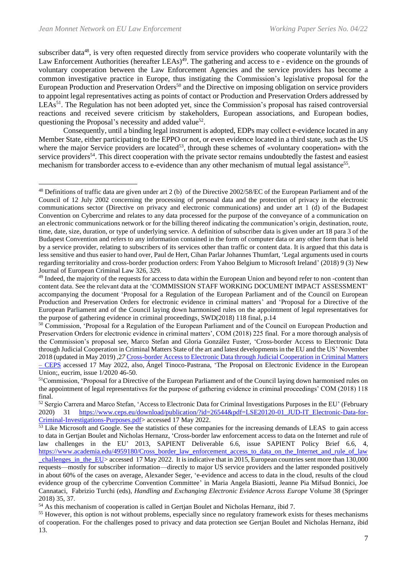subscriber data<sup>48</sup>, is very often requested directly from service providers who cooperate voluntarily with the Law Enforcement Authorities (hereafter LEAs)<sup>49</sup>. The gathering and access to e - evidence on the grounds of voluntary cooperation between the Law Enforcement Agencies and the service providers has become a common investigative practice in Europe, thus instigating the Commission's legislative proposal for the European Production and Preservation Orders<sup>50</sup> and the Directive on imposing obligation on service providers to appoint legal representatives acting as points of contact or Production and Preservation Orders addressed by LEAs<sup>51</sup>. The Regulation has not been adopted yet, since the Commission's proposal has raised controversial reactions and received severe criticism by stakeholders, European associations, and European bodies, questioning the Proposal's necessity and added value<sup>52</sup>.

Consequently, until a binding legal instrument is adopted, EDPs may collect e-evidence located in any Member State, either participating to the EPPO or not, or even evidence located in a third state, such as the US where the major Service providers are located<sup>53</sup>, through these schemes of «voluntary cooperation» with the service providers<sup>54</sup>. This direct cooperation with the private sector remains undoubtedly the fastest and easiest mechanism for transborder access to e-evidence than any other mechanism of mutual legal assistance<sup>55</sup>.

<sup>48</sup> Definitions of traffic data are given under art 2 (b) of the Directive 2002/58/EC of the European Parliament and of the Council of 12 July 2002 concerning the processing of personal data and the protection of privacy in the electronic communications sector (Directive on privacy and electronic communications) and under art 1 (d) of the Budapest Convention on Cybercrime and relates to any data processed for the purpose of the conveyance of a communication on an electronic communications network or for the billing thereof indicating the communication's origin, destination, route, time, date, size, duration, or type of underlying service. A definition of subscriber data is given under art 18 para 3 of the Budapest Convention and refers to any information contained in the form of computer data or any other form that is held by a service provider, relating to subscribers of its services other than traffic or content data. It is argued that this data is less sensitive and thus easier to hand over, Paul de Hert, Cihan Parlar Johannes Thumfart, 'Legal arguments used in courts regarding territoriality and cross-border production orders: From Yahoo Belgium to Microsoft Ireland' (2018) 9 (3) New Journal of European Criminal Law 326, 329.

<sup>&</sup>lt;sup>49</sup> Indeed, the majority of the requests for access to data within the European Union and beyond refer to non-content than content data. See the relevant data at the 'COMMISSION STAFF WORKING DOCUMENT IMPACT ASSESSMENT' accompanying the document 'Proposal for a Regulation of the European Parliament and of the Council on European Production and Preservation Orders for electronic evidence in criminal matters' and 'Proposal for a Directive of the European Parliament and of the Council laying down harmonised rules on the appointment of legal representatives for the purpose of gathering evidence in criminal proceedings, SWD(2018) 118 final, p.14

<sup>&</sup>lt;sup>50</sup> Commission, 'Proposal for a Regulation of the European Parliament and of the Council on European Production and Preservation Orders for electronic evidence in criminal matters', COM (2018) 225 final. For a more thorough analysis of the Commission's proposal see, Marco Stefan and Gloria González Fuster, 'Cross-border Access to Electronic Data through Judicial Cooperation in Criminal Matters State of the art and latest developments in the EU and the US' November 2018 (updated in May 2019) ,2*7* [Cross-border Access to Electronic Data through Judicial Cooperation in Criminal Matters](https://www.ceps.eu/ceps-publications/cross-border-access-electronic-data-through-judicial-cooperation-criminal-matters/)  – [CEPS](https://www.ceps.eu/ceps-publications/cross-border-access-electronic-data-through-judicial-cooperation-criminal-matters/) accessed 17 May 2022, also, Ángel Tinoco-Pastrana, 'The Proposal on Electronic Evidence in the European Union;, eucrim, issue 1/2020 46-50.

<sup>&</sup>lt;sup>51</sup>Commission, 'Proposal for a Directive of the European Parliament and of the Council laying down harmonised rules on the appointment of legal representatives for the purpose of gathering evidence in criminal proceedings' COM (2018) 118 final.

<sup>52</sup> Sergio Carrera and Marco Stefan, 'Access to Electronic Data for Criminal Investigations Purposes in the EU' (February 2020) 31 [https://www.ceps.eu/download/publication/?id=26544&pdf=LSE20120-01\\_JUD-IT\\_Electronic-Data-for-](https://www.ceps.eu/download/publication/?id=26544&pdf=LSE20120-01_JUD-IT_Electronic-Data-for-Criminal-Investigations-Purposes.pdf)[Criminal-Investigations-Purposes.pdf>](https://www.ceps.eu/download/publication/?id=26544&pdf=LSE20120-01_JUD-IT_Electronic-Data-for-Criminal-Investigations-Purposes.pdf) accessed 17 May 2022.

<sup>&</sup>lt;sup>53</sup> Like Microsoft and Google. See the statistics of these companies for the increasing demands of LEAS to gain access to data in Gertjan Boulet and Nicholas Hernanz, 'Cross-border law enforcement access to data on the Internet and rule of law challenges in the EU' 2013, SAPIENT Deliverable 6.6, issue SAPIENT Policy Brief 6.6, 4, [https://www.academia.edu/4959180/Cross\\_border\\_law\\_enforcement\\_access\\_to\\_data\\_on\\_the\\_Internet\\_and\\_rule\\_of\\_law](https://www.academia.edu/4959180/Cross_border_law_enforcement_access_to_data_on_the_Internet_and_rule_of_law_challenges_in_the_EU) [\\_challenges\\_in\\_the\\_EU>](https://www.academia.edu/4959180/Cross_border_law_enforcement_access_to_data_on_the_Internet_and_rule_of_law_challenges_in_the_EU) accessed 17 May 2022. It is indicative that in 2015, European countries sent more than 130,000 requests—mostly for subscriber information—directly to major US service providers and the latter responded positively in about 60% of the cases on average, Alexander Seger, 'e-evidence and access to data in the cloud, results of the cloud evidence group of the cybercrime Convention Committee' in Maria Angela Biasiotti, Jeanne Pia Mifsud Bonnici, Joe Cannataci, Fabrizio Turchi (eds), *Handling and Exchanging Electronic Evidence Across Europe* Volume 38 (Springer 2018) 35, 37.

<sup>54</sup> As this mechanism of cooperation is called in Gertjan Boulet and Nicholas Hernanz, ibid 7.

<sup>&</sup>lt;sup>55</sup> However, this option is not without problems, especially since no regulatory framework exists for theses mechanisms of cooperation. For the challenges posed to privacy and data protection see Gertjan Boulet and Nicholas Hernanz, ibid 13.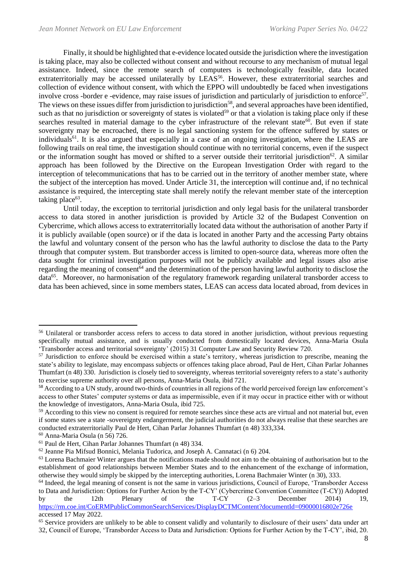Finally, it should be highlighted that e-evidence located outside the jurisdiction where the investigation is taking place, may also be collected without consent and without recourse to any mechanism of mutual legal assistance. Indeed, since the remote search of computers is technologically feasible, data located extraterritorially may be accessed unilaterally by LEAS<sup>56</sup>. However, these extraterritorial searches and collection of evidence without consent, with which the EPPO will undoubtedly be faced when investigations involve cross -border e -evidence, may raise issues of jurisdiction and particularly of jurisdiction to enforce<sup>57</sup>. The views on these issues differ from jurisdiction to jurisdiction<sup>58</sup>, and several approaches have been identified, such as that no jurisdiction or sovereignty of states is violated<sup>59</sup> or that a violation is taking place only if these searches resulted in material damage to the cyber infrastructure of the relevant state<sup>60</sup>. But even if state sovereignty may be encroached, there is no legal sanctioning system for the offence suffered by states or individuals<sup>61</sup>. It is also argued that especially in a case of an ongoing investigation, where the LEAS are following trails on real time, the investigation should continue with no territorial concerns, even if the suspect or the information sought has moved or shifted to a server outside their territorial jurisdiction<sup>62</sup>. A similar approach has been followed by the Directive on the European Investigation Order with regard to the interception of telecommunications that has to be carried out in the territory of another member state, where the subject of the interception has moved. Under Article 31, the interception will continue and, if no technical assistance is required, the intercepting state shall merely notify the relevant member state of the interception taking place<sup>63</sup>.

Until today, the exception to territorial jurisdiction and only legal basis for the unilateral transborder access to data stored in another jurisdiction is provided by Article 32 of the Budapest Convention on Cybercrime, which allows access to extraterritorially located data without the authorisation of another Party if it is publicly available (open source) or if the data is located in another Party and the accessing Party obtains the lawful and voluntary consent of the person who has the lawful authority to disclose the data to the Party through that computer system. But transborder access is limited to open-source data, whereas more often the data sought for criminal investigation purposes will not be publicly available and legal issues also arise regarding the meaning of consent<sup>64</sup> and the determination of the person having lawful authority to disclose the data<sup>65</sup>. Moreover, no harmonisation of the regulatory framework regarding unilateral transborder access to data has been achieved, since in some members states, LEAS can access data located abroad, from devices in

<sup>&</sup>lt;sup>56</sup> Unilateral or transborder access refers to access to data stored in another jurisdiction, without previous requesting specifically mutual assistance, and is usually conducted from domestically located devices, Anna-Maria Osula 'Transborder access and territorial sovereignty' (2015) 31 Computer Law and Security Review 720.

<sup>57</sup> Jurisdiction το enforce should be exercised within a state's territory, whereas jurisdiction to prescribe, meaning the state's ability to legislate, may encompass subjects or offences taking place abroad, Paul de Hert, Cihan Parlar Johannes Thumfart (n 48) 330. Jurisdiction is closely tied to sovereignty, whereas territorial sovereignty refers to a state's authority to exercise supreme authority over all persons, Anna-Maria Osula, ibid 721.

<sup>&</sup>lt;sup>58</sup> According to a UN study, around two-thirds of countries in all regions of the world perceived foreign law enforcement's access to other States' computer systems or data as impermissible, even if it may occur in practice either with or without the knowledge of investigators, Anna-Maria Osula, ibid 725.

<sup>&</sup>lt;sup>59</sup> According to this view no consent is required for remote searches since these acts are virtual and not material but, even if some states see a state -sovereignty endangerment, the judicial authorities do not always realise that these searches are conducted extraterritorially Paul de Hert, Cihan Parlar Johannes Thumfart (n 48) 333,334.

<sup>60</sup> Anna-Maria Osula (n 56) 726.

<sup>61</sup> Paul de Hert, Cihan Parlar Johannes Thumfart (n 48) 334.

<sup>62</sup> Jeanne Pia Mifsud Bonnici, Melania Tudorica, and Joseph A. Cannataci (n 6) 204.

<sup>&</sup>lt;sup>63</sup> Lorena Bachmaier Winter argues that the notifications made should not aim to the obtaining of authorisation but to the establishment of good relationships between Member States and to the enhancement of the exchange of information, otherwise they would simply be skipped by the intercepting authorities, Lorena Bachmaier Winter (n 30), 333.

 $<sup>64</sup>$  Indeed, the legal meaning of consent is not the same in various jurisdictions, Council of Europe, 'Transborder Access</sup> to Data and Jurisdiction: Options for Further Action by the T-CY' (Cybercrime Convention Committee (T-CY)) Adopted

by the 12th Plenary of the T-CY (2–3 December 2014) 19, <https://rm.coe.int/CoERMPublicCommonSearchServices/DisplayDCTMContent?documentId=09000016802e726e> accessed 17 May 2022.

<sup>&</sup>lt;sup>65</sup> Service providers are unlikely to be able to consent validly and voluntarily to disclosure of their users' data under art 32, Council of Europe, 'Transborder Access to Data and Jurisdiction: Options for Further Action by the T-CY', ibid, 20.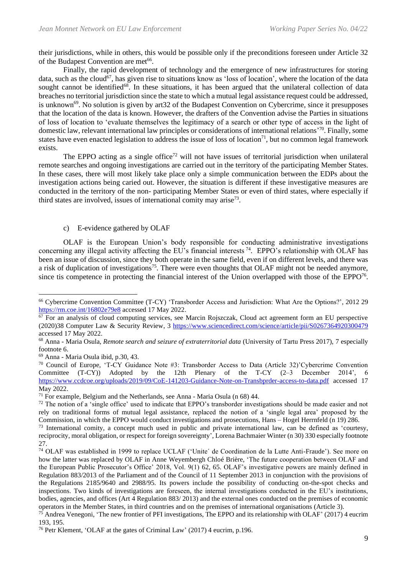their jurisdictions, while in others, this would be possible only if the preconditions foreseen under Article 32 of the Budapest Convention are met<sup>66</sup>.

Finally, the rapid development of technology and the emergence of new infrastructures for storing data, such as the cloud<sup>67</sup>, has given rise to situations know as 'loss of location', where the location of the data sought cannot be identified<sup>68</sup>. In these situations, it has been argued that the unilateral collection of data breaches no territorial jurisdiction since the state to which a mutual legal assistance request could be addressed, is unknown<sup>69</sup>. No solution is given by art32 of the Budapest Convention on Cybercrime, since it presupposes that the location of the data is known. However, the drafters of the Convention advise the Parties in situations of loss of location to 'evaluate themselves the legitimacy of a search or other type of access in the light of domestic law, relevant international law principles or considerations of international relations' <sup>70</sup>. Finally, some states have even enacted legislation to address the issue of loss of location<sup>71</sup>, but no common legal framework exists.

The EPPO acting as a single office<sup>72</sup> will not have issues of territorial jurisdiction when unilateral remote searches and ongoing investigations are carried out in the territory of the participating Member States. In these cases, there will most likely take place only a simple communication between the EDPs about the investigation actions being caried out. However, the situation is different if these investigative measures are conducted in the territory of the non- participating Member States or even of third states, where especially if third states are involved, issues of international comity may arise<sup>73</sup>.

### c) E-evidence gathered by OLAF

OLAF is the European Union's body responsible for conducting administrative investigations concerning any illegal activity affecting the EU's financial interests<sup>74</sup>. EPPO's relationship with OLAF has been an issue of discussion, since they both operate in the same field, even if on different levels, and there was a risk of duplication of investigations<sup>75</sup>. There were even thoughts that OLAF might not be needed anymore, since tis competence in protecting the financial interest of the Union overlapped with those of the EPPO<sup>76</sup>.

<sup>66</sup> Cybercrime Convention Committee (T-CY) 'Transborder Access and Jurisdiction: What Are the Options?', 2012 29 <https://rm.coe.int/16802e79e8> accessed 17 May 2022.

 $67$  For an analysis of cloud computing services, see Marcin Rojszczak, Cloud act agreement form an EU perspective (2020)38 Computer Law & Security Review, 3<https://www.sciencedirect.com/science/article/pii/S0267364920300479> accessed 17 May 2022.

<sup>68</sup> Anna - Maria Osula, *Remote search and seizure of extraterritorial data* (University of Tartu Press 2017), 7 especially footnote 6.

<sup>69</sup> Anna - Maria Osula ibid, p.30, 43.

<sup>70</sup> Council of Europe, 'T-CY Guidance Note #3: Transborder Access to Data (Article 32)'Cybercrime Convention Committee (T-CY)) Adopted by the 12th Plenary of the T-CY (2–3 December 2014', 6 <https://www.ccdcoe.org/uploads/2019/09/CoE-141203-Guidance-Note-on-Transbprder-access-to-data.pdf> accessed 17 May 2022.

 $71$  For example, Belgium and the Netherlands, see Anna - Maria Osula (n 68) 44.

<sup>&</sup>lt;sup>72</sup> The notion of a 'single office' used to indicate that EPPO's transborder investigations should be made easier and not rely on traditional forms of mutual legal assistance, replaced the notion of a 'single legal area' proposed by the Commission, in which the EPPO would conduct investigations and prosecutions, Hans – Hogel Herrnfeld (n 19) 286.

<sup>&</sup>lt;sup>73</sup> International comity, a concept much used in public and private international law, can be defined as 'courtesy, reciprocity, moral obligation, or respect for foreign sovereignty', Lorena Bachmaier Winter (n 30) 330 especially footnote 27.

<sup>74</sup> OLAF was established in 1999 to replace UCLAF ('Unite´ de Coordination de la Lutte Anti-Fraude'). See more on how the latter was replaced by OLAF in Anne Weyembergh Chloé Brière, 'The future cooperation between OLAF and the European Public Prosecutor's Office' 2018, Vol. 9(1) 62, 65. OLAF's investigative powers are mainly defined in Regulation 883/2013 of the Parliament and of the Council of 11 September 2013 in conjunction with the provisions of the Regulations 2185/9640 and 2988/95. Its powers include the possibility of conducting on-the-spot checks and inspections. Two kinds of investigations are foreseen, the internal investigations conducted in the EU's institutions, bodies, agencies, and offices (Art 4 Regulation 883/ 2013) and the external ones conducted on the premises of economic operators in the Member States, in third countries and on the premises of international organisations (Article 3).

<sup>75</sup> Andrea Venegoni, 'The new frontier of PFI investigations, The EPPO and its relationship with OLAF' (2017) 4 eucrim 193, 195.

<sup>76</sup> Petr Klement, 'OLAF at the gates of Criminal Law' (2017) 4 eucrim, p.196.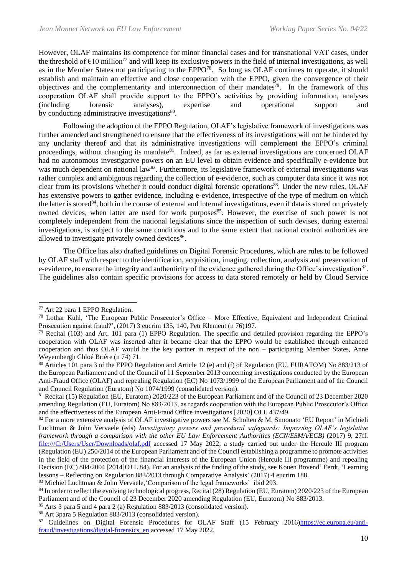However, OLAF maintains its competence for minor financial cases and for transnational VAT cases, under the threshold of  $E10$  million<sup>77</sup> and will keep its exclusive powers in the field of internal investigations, as well as in the Member States not participating to the  $EPPO^{78}$ . So long as OLAF continues to operate, it should establish and maintain an effective and close cooperation with the EPPO, given the convergence of their objectives and the complementarity and interconnection of their mandates<sup>79</sup>. In the framework of this cooperation OLAF shall provide support to the EPPO's activities by providing information, analyses (including forensic analyses), expertise and operational support and by conducting administrative investigations<sup>80</sup>.

Following the adoption of the EPPO Regulation, OLAF's legislative framework of investigations was further amended and strengthened to ensure that the effectiveness of its investigations will not be hindered by any unclarity thereof and that its administrative investigations will complement the EPPO's criminal proceedings, without changing its mandate<sup>81</sup>. Indeed, as far as external investigations are concerned OLAF had no autonomous investigative powers on an EU level to obtain evidence and specifically e-evidence but was much dependent on national law<sup>82</sup>. Furthermore, its legislative framework of external investigations was rather complex and ambiguous regarding the collection of e-evidence, such as computer data since it was not clear from its provisions whether it could conduct digital forensic operations<sup>83</sup>. Under the new rules, OLAF has extensive powers to gather evidence, including e-evidence, irrespective of the type of medium on which the latter is stored $84$ , both in the course of external and internal investigations, even if data is stored on privately owned devices, when latter are used for work purposes<sup>85</sup>. However, the exercise of such power is not completely independent from the national legislations since the inspection of such devises, during external investigations, is subject to the same conditions and to the same extent that national control authorities are allowed to investigate privately owned devices<sup>86</sup>.

The Office has also drafted guidelines on Digital Forensic Procedures, which are rules to be followed by OLAF staff with respect to the identification, acquisition, imaging, collection, analysis and preservation of e-evidence, to ensure the integrity and authenticity of the evidence gathered during the Office's investigation<sup>87</sup>. The guidelines also contain specific provisions for access to data stored remotely or held by Cloud Service

<sup>77</sup> Art 22 para 1 EPPO Regulation.

<sup>78</sup> Lothar Kuhl, 'The European Public Prosecutor's Office – More Effective, Equivalent and Independent Criminal Prosecution against fraud?', (2017) 3 eucrim 135, 140, Petr Klement (n 76)197.

 $79$  Recital (103) and Art. 101 para (1) EPPO Regulation. The specific and detailed provision regarding the EPPO's cooperation with OLAF was inserted after it became clear that the EPPO would be established through enhanced cooperation and thus OLAF would be the key partner in respect of the non – participating Member States, Anne Weyembergh Chloé Brière (n 74) 71.

<sup>80</sup> Articles 101 para 3 of the EPPO Regulation and Article 12 (e) and (f) of Regulation (EU, EURATOM) No 883/213 of the European Parliament and of the Council of 11 September 2013 concerning investigations conducted by the European Anti-Fraud Office (OLAF) and repealing Regulation (EC) No 1073/1999 of the European Parliament and of the Council and Council Regulation (Euratom) No 1074/1999 (consolidated version).

<sup>81</sup> Recital (15) Regulation (EU, Euratom) 2020/223 of the European Parliament and of the Council of 23 December 2020 amending Regulation (EU, Euratom) No 883/2013, as regards cooperation with the European Public Prosecutor's Office and the effectiveness of the European Anti-Fraud Office investigations [2020] OJ L 437/49.

 $82$  For a more extensive analysis of OLAF investigative powers see M. Scholten & M. Simonato 'EU Report' in Michieli Luchtman & John Vervaele (eds) *Investigatory powers and procedural safeguards: Improving OLAF's legislative framework through a comparison with the other EU Law Enforcement Authorities (ECN/ESMA/ECB)* (2017) 9, 27ff. <file:///C:/Users/User/Downloads/olaf.pdf> accessed 17 May 2022, a study carried out under the Hercule III program (Regulation (EU) 250/2014 of the European Parliament and of the Council establishing a programme to promote activities in the field of the protection of the financial interests of the European Union (Hercule III programme) and repealing Decision (EC) 804/2004 [2014]OJ L 84). For an analysis of the finding of the study, see Kouen Bovend' Eerdt, 'Learning lessons – Reflecting on Regulation 883/2013 through Comparative Analysis' (2017) 4 eucrim 188.

<sup>83</sup> Michiel Luchtman & John Vervaele,'Comparison of the legal frameworks' ibid 293.

<sup>&</sup>lt;sup>84</sup> In order to reflect the evolving technological progress, Recital (28) Regulation (EU, Euratom) 2020/223 of the European Parliament and of the Council of 23 December 2020 amending Regulation (EU, Euratom) No 883/2013.

<sup>85</sup> Arts 3 para 5 and 4 para 2 (a) Regulation 883/2013 (consolidated version).

<sup>86</sup> Art 3para 5 Regulation 883/2013 (consolidated version).

<sup>&</sup>lt;sup>87</sup> Guidelines on Digital Forensic Procedures for OLAF Staff (15 February 2016[\)https://ec.europa.eu/anti](https://ec.europa.eu/anti-fraud/investigations/digital-forensics_en)[fraud/investigations/digital-forensics\\_en](https://ec.europa.eu/anti-fraud/investigations/digital-forensics_en) accessed 17 May 2022.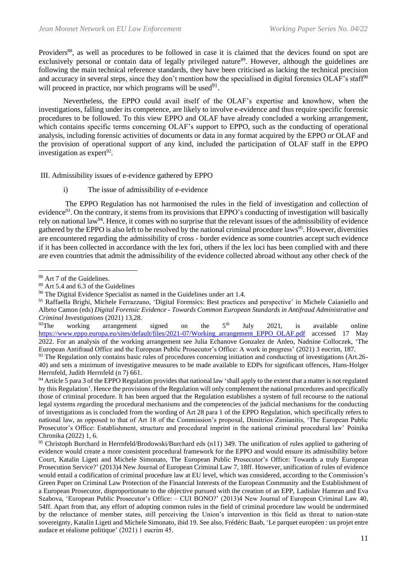Providers<sup>88</sup>, as well as procedures to be followed in case it is claimed that the devices found on spot are exclusively personal or contain data of legally privileged nature<sup>89</sup>. However, although the guidelines are following the main technical reference standards, they have been criticised as lacking the technical precision and accuracy in several steps, since they don't mention how the specialised in digital forensics OLAF's staff<sup>90</sup> will proceed in practice, nor which programs will be used $91$ .

Nevertheless, the EPPO could avail itself of the OLAF's expertise and knowhow, when the investigations, falling under its competence, are likely to involve e-evidence and thus require specific forensic procedures to be followed. To this view EPPO and OLAF have already concluded a working arrangement, which contains specific terms concerning OLAF's support to EPPO, such as the conducting of operational analysis, including forensic activities of documents or data in any format acquired by the EPPO or OLAF and the provision of operational support of any kind, included the participation of OLAF staff in the EPPO investigation as expert $92$ .

III. Admissibility issues of e-evidence gathered by EPPO

i) The issue of admissibility of e-evidence

The EPPO Regulation has not harmonised the rules in the field of investigation and collection of evidence<sup>93</sup>. On the contrary, it stems from its provisions that EPPO's conducting of investigation will basically rely on national law<sup>94</sup>. Hence, it comes with no surprise that the relevant issues of the admissibility of evidence gathered by the EPPO is also left to be resolved by the national criminal procedure laws<sup>95</sup>. However, diversities are encountered regarding the admissibility of cross - border evidence as some countries accept such evidence if it has been collected in accordance with the lex fori, others if the lex loci has been complied with and there are even countries that admit the admissibility of the evidence collected abroad without any other check of the

working arrangement signed on the  $5<sup>th</sup>$  July 2021, is available online [https://www.eppo.europa.eu/sites/default/files/2021-07/Working\\_arrangement\\_EPPO\\_OLAF.pdf](https://www.eppo.europa.eu/sites/default/files/2021-07/Working_arrangement_EPPO_OLAF.pdf) accessed 17 May 2022. For an analysis of the working arrangement see Julia Echanove Gonzalez de Anleo, Nadnine Colloczek, 'The European Antifraud Office and the European Public Prosecutor's Office: A work in progress' (2021) 3 eucrim, 187.

<sup>94</sup> Article 5 para 3 of the EPPO Regulation provides that national law 'shall apply to the extent that a matter is not regulated by this Regulation'. Hence the provisions of the Regulation will only complement the national procedures and specifically those of criminal procedure. It has been argued that the Regulation establishes a system of full recourse to the national legal systems regarding the procedural mechanisms and the competencies of the judicial mechanisms for the conducting of investigations as is concluded from the wording of Art 28 para 1 of the EPPO Regulation, which specifically refers to national law, as opposed to that of Art 18 of the Commission's proposal, Dimitrios Zimianitis, 'The European Public Prosecutor's Office: Establishment, structure and procedural imprint in the national criminal procedural law' Poinika Chronika (2022) 1, 6.

<sup>95</sup> Christoph Burchard in Herrnfeld/Brodowski/Burchard eds (n11) 349. The unification of rules applied to gathering of evidence would create a more consistent procedural framework for the EPPO and would ensure its admissibility before Court, Katalin Ligeti and Michele Simonato, The European Public Prosecutor's Office: Towards a truly European Prosecution Service?' (2013)4 New Journal of European Criminal Law 7, 18ff. However, unification of rules of evidence would entail a codification of criminal procedure law at EU level, which was considered, according to the Commission's Green Paper on Criminal Law Protection of the Financial Interests of the European Community and the Establishment of a European Prosecutor, disproportionate to the objective pursued with the creation of an EPP, Ladislav Hamran and Eva Szabova, 'European Public Prosecutor's Office: – CUI BONO?' (2013)4 New Journal of European Criminal Law 40, 54ff. Apart from that, any effort of adopting common rules in the field of criminal procedure law would be undermined by the reluctance of member states, still perceiving the Union's intervention in this field as threat to nation-state sovereignty, Katalin Ligeti and Michele Simonato, ibid 19. See also, Frédéric Baab, 'Le parquet européen : un projet entre audace et réalisme politique' (2021) 1 eucrim 45.

<sup>&</sup>lt;sup>88</sup> Art 7 of the Guidelines.

<sup>89</sup> Art 5.4 and 6.3 of the Guidelines

<sup>&</sup>lt;sup>90</sup> The Digital Evidence Specialist as named in the Guidelines under art 1.4.

<sup>&</sup>lt;sup>91</sup> Raffaella Brighi, Michele Ferrazzano, 'Digital Forensics: Best practices and perspective' in Michele Caianiello and Albrto Camon (eds) *Digital Forensic Evidence - Towards Common European Standards in Antifraud Administrative and Criminal Investigations* (2021) 13,28.

<sup>93</sup> The Regulation only contains basic rules of procedures concerning initiation and conducting of investigations (Art.26- 40) and sets a minimum of investigative measures to be made available to EDPs for significant offences, Hans-Holger Herrnfeld, Judith Herrnfeld (n 7) 661.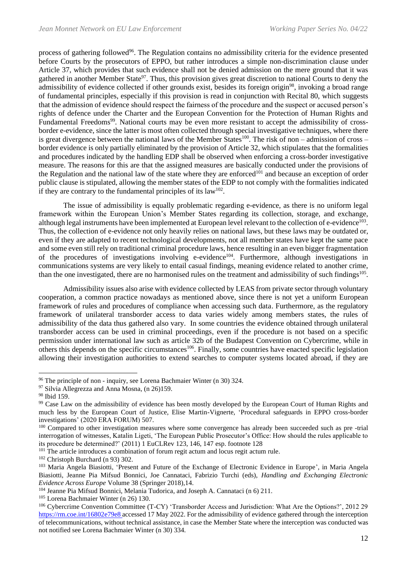process of gathering followed<sup>96</sup>. The Regulation contains no admissibility criteria for the evidence presented before Courts by the prosecutors of EPPO, but rather introduces a simple non-discrimination clause under Article 37, which provides that such evidence shall not be denied admission on the mere ground that it was gathered in another Member State<sup>97</sup>. Thus, this provision gives great discretion to national Courts to deny the admissibility of evidence collected if other grounds exist, besides its foreign origin<sup>98</sup>, invoking a broad range of fundamental principles, especially if this provision is read in conjunction with Recital 80, which suggests that the admission of evidence should respect the fairness of the procedure and the suspect or accused person's rights of defence under the Charter and the European Convention for the Protection of Human Rights and Fundamental Freedoms<sup>99</sup>. National courts may be even more resistant to accept the admissibility of crossborder e-evidence, since the latter is most often collected through special investigative techniques, where there is great divergence between the national laws of the Member States<sup>100</sup>. The risk of non – admission of cross – border evidence is only partially eliminated by the provision of Article 32, which stipulates that the formalities and procedures indicated by the handling EDP shall be observed when enforcing a cross-border investigative measure. The reasons for this are that the assigned measures are basically conducted under the provisions of the Regulation and the national law of the state where they are enforced<sup>101</sup> and because an exception of order public clause is stipulated, allowing the member states of the EDP to not comply with the formalities indicated if they are contrary to the fundamental principles of its  $law^{102}$ .

The issue of admissibility is equally problematic regarding e-evidence, as there is no uniform legal framework within the European Union's Member States regarding its collection, storage, and exchange, although legal instruments have been implemented at European level relevant to the collection of e-evidence<sup>103</sup>. Thus, the collection of e-evidence not only heavily relies on national laws, but these laws may be outdated or, even if they are adapted to recent technological developments, not all member states have kept the same pace and some even still rely on traditional criminal procedure laws, hence resulting in an even bigger fragmentation of the procedures of investigations involving e-evidence<sup>104</sup>. Furthermore, although investigations in communications systems are very likely to entail casual findings, meaning evidence related to another crime, than the one investigated, there are no harmonised rules on the treatment and admissibility of such findings<sup>105</sup>.

Admissibility issues also arise with evidence collected by LEAS from private sector through voluntary cooperation, a common practice nowadays as mentioned above, since there is not yet a uniform European framework of rules and procedures of compliance when accessing such data. Furthermore, as the regulatory framework of unilateral transborder access to data varies widely among members states, the rules of admissibility of the data thus gathered also vary. In some countries the evidence obtained through unilateral transborder access can be used in criminal proceedings, even if the procedure is not based on a specific permission under international law such as article 32b of the Budapest Convention on Cybercrime, while in others this depends on the specific circumstances<sup>106</sup>. Finally, some countries have enacted specific legislation allowing their investigation authorities to extend searches to computer systems located abroad, if they are

<sup>&</sup>lt;sup>96</sup> The principle of non - inquiry, see Lorena Bachmaier Winter (n 30) 324.

<sup>&</sup>lt;sup>97</sup> Silvia Allegrezza and Anna Mosna, (n 26)159.

<sup>98</sup> Ibid 159.

<sup>&</sup>lt;sup>99</sup> Case Law on the admissibility of evidence has been mostly developed by the European Court of Human Rights and much less by the European Court of Justice, Elise Martin-Vignerte, 'Procedural safeguards in EPPO cross-border investigations' (2020 ERA FORUM) 507.

<sup>&</sup>lt;sup>100</sup> Compared to other investigation measures where some convergence has already been succeeded such as pre-trial interrogation of witnesses, Katalin Ligeti, 'The European Public Prosecutor's Office: How should the rules applicable to its procedure be determined?' (2011) 1 EuCLRev 123, 146, 147 esp. footnote 128

<sup>&</sup>lt;sup>101</sup> The article introduces a combination of forum regit actum and locus regit actum rule.

<sup>102</sup> Christoph Burchard (n 93) 302.

<sup>&</sup>lt;sup>103</sup> Maria Angela Biasiotti, 'Present and Future of the Exchange of Electronic Evidence in Europe', in Maria Angela Biasiotti, Jeanne Pia Mifsud Bonnici, Joe Cannataci, Fabrizio Turchi (eds), *Handling and Exchanging Electronic Evidence Across Europe* Volume 38 (Springer 2018),14.

<sup>104</sup> Jeanne Pia Mifsud Bonnici, Melania Tudorica, and Joseph A. Cannataci (n 6) 211.

<sup>105</sup> Lorena Bachmaier Winter (n 26) 130.

<sup>106</sup> Cybercrime Convention Committee (T-CY) 'Transborder Access and Jurisdiction: What Are the Options?', 2012 29 <https://rm.coe.int/16802e79e8> accessed 17 May 2022. For the admissibility of evidence gathered through the interception of telecommunications, without technical assistance, in case the Member State where the interception was conducted was not notified see Lorena Bachmaier Winter (n 30) 334.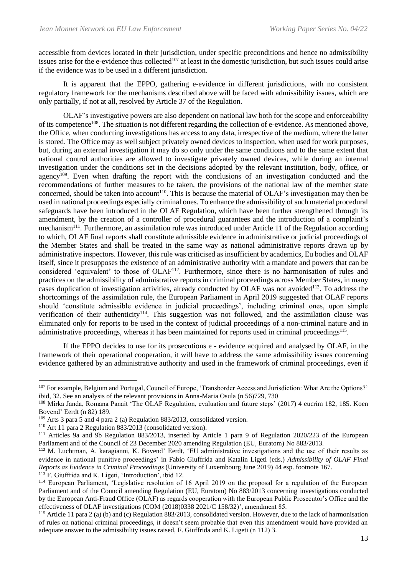accessible from devices located in their jurisdiction, under specific preconditions and hence no admissibility issues arise for the e-evidence thus collected<sup>107</sup> at least in the domestic jurisdiction, but such issues could arise if the evidence was to be used in a different jurisdiction.

It is apparent that the EPPO, gathering e-evidence in different jurisdictions, with no consistent regulatory framework for the mechanisms described above will be faced with admissibility issues, which are only partially, if not at all, resolved by Article 37 of the Regulation.

OLAF's investigative powers are also dependent on national law both for the scope and enforceability of its competence<sup>108</sup>. The situation is not different regarding the collection of e-evidence. As mentioned above, the Office, when conducting investigations has access to any data, irrespective of the medium, where the latter is stored. The Office may as well subject privately owned devices to inspection, when used for work purposes, but, during an external investigation it may do so only under the same conditions and to the same extent that national control authorities are allowed to investigate privately owned devices, while during an internal investigation under the conditions set in the decisions adopted by the relevant institution, body, office, or agency<sup>109</sup>. Even when drafting the report with the conclusions of an investigation conducted and the recommendations of further measures to be taken, the provisions of the national law of the member state concerned, should be taken into account<sup>110</sup>. This is because the material of OLAF's investigation may then be used in national proceedings especially criminal ones. To enhance the admissibility of such material procedural safeguards have been introduced in the OLAF Regulation, which have been further strengthened through its amendment, by the creation of a controller of procedural guarantees and the introduction of a complaint's mechanism<sup>111</sup>. Furthermore, an assimilation rule was introduced under Article 11 of the Regulation according to which, OLAF final reports shall constitute admissible evidence in administrative or judicial proceedings of the Member States and shall be treated in the same way as national administrative reports drawn up by administrative inspectors. However, this rule was criticised as insufficient by academics, Eu bodies and OLAF itself, since it presupposes the existence of an administrative authority with a mandate and powers that can be considered 'equivalent' to those of OLAF<sup>112</sup>. Furthermore, since there is no harmonisation of rules and practices on the admissibility of administrative reports in criminal proceedings across Member States, in many cases duplication of investigation activities, already conducted by OLAF was not avoided<sup>113</sup>. To address the shortcomings of the assimilation rule, the European Parliament in April 2019 suggested that OLAF reports should 'constitute admissible evidence in judicial proceedings', including criminal ones, upon simple verification of their authenticity<sup>114</sup>. This suggestion was not followed, and the assimilation clause was eliminated only for reports to be used in the context of judicial proceedings of a non-criminal nature and in administrative proceedings, whereas it has been maintained for reports used in criminal proceedings<sup>115</sup>.

If the EPPO decides to use for its prosecutions e - evidence acquired and analysed by OLAF, in the framework of their operational cooperation, it will have to address the same admissibility issues concerning evidence gathered by an administrative authority and used in the framework of criminal proceedings, even if

<sup>107</sup> For example, Belgium and Portugal, Council of Europe, 'Transborder Access and Jurisdiction: What Are the Options?' ibid, 32. See an analysis of the relevant provisions in Anna-Maria Osula (n 56)729, 730

<sup>&</sup>lt;sup>108</sup> Mirka Janda, Romana Panait 'The OLAF Regulation, evaluation and future steps' (2017) 4 eucrim 182, 185. Koen Bovend' Eerdt (n 82) 189.

<sup>109</sup> Arts 3 para 5 and 4 para 2 (a) Regulation 883/2013, consolidated version.

<sup>110</sup> Art 11 para 2 Regulation 883/2013 (consolidated version).

<sup>111</sup> Articles 9a and 9b Regulation 883/2013, inserted by Article 1 para 9 of Regulation 2020/223 of the European Parliament and of the Council of 23 December 2020 amending Regulation (EU, Euratom) No 883/2013.

<sup>112</sup> M. Luchtman, A. karagianni, K. Bovend' Eerdt, 'EU administrative investigations and the use of their results as evidence in national punitive proceedings' in Fabio Giuffrida and Katalin Ligeti (eds.) *Admissibility of OLAF Final Reports as Evidence in Criminal Proceedings* (University of Luxembourg June 2019) 44 esp. footnote 167.  $113$  F. Giuffrida and K. Ligeti, 'Introduction', ibid 12.

<sup>&</sup>lt;sup>114</sup> European Parliament, 'Legislative resolution of 16 April 2019 on the proposal for a regulation of the European Parliament and of the Council amending Regulation (EU, Euratom) No 883/2013 concerning investigations conducted by the European Anti-Fraud Office (OLAF) as regards cooperation with the European Public Prosecutor's Office and the effectiveness of OLAF investigations (COM (2018)0338 2021/C 158/32)', amendment 85.

<sup>&</sup>lt;sup>115</sup> Article 11 para 2 (a) (b) and (c) Regulation  $883/2013$ , consolidated version. However, due to the lack of harmonisation of rules on national criminal proceedings, it doesn't seem probable that even this amendment would have provided an adequate answer to the admissibility issues raised, F. Giuffrida and K. Ligeti (n 112) 3.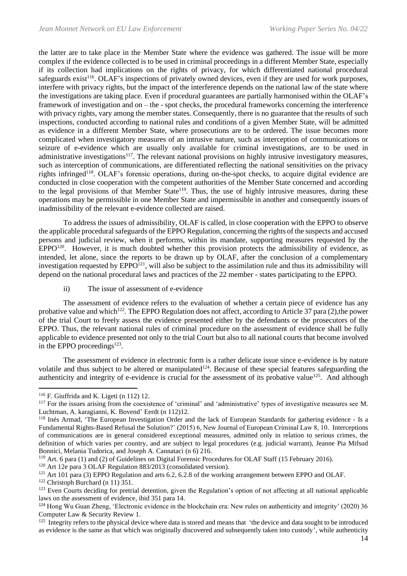the latter are to take place in the Member State where the evidence was gathered. The issue will be more complex if the evidence collected is to be used in criminal proceedings in a different Member State, especially if its collection had implications on the rights of privacy, for which differentiated national procedural safeguards exist<sup>116</sup>. OLAF's inspections of privately owned devices, even if they are used for work purposes, interfere with privacy rights, but the impact of the interference depends on the national law of the state where the investigations are taking place. Even if procedural guarantees are partially harmonised within the OLAF's framework of investigation and on – the - spot checks, the procedural frameworks concerning the interference with privacy rights, vary among the member states. Consequently, there is no guarantee that the results of such inspections, conducted according to national rules and conditions of a given Member State, will be admitted as evidence in a different Member State, where prosecutions are to be ordered. The issue becomes more complicated when investigatory measures of an intrusive nature, such as interception of communications or seizure of e-evidence which are usually only available for criminal investigations, are to be used in administrative investigations<sup>117</sup>. The relevant national provisions on highly intrusive investigatory measures, such as interception of communications, are differentiated reflecting the national sensitivities on the privacy rights infringed<sup>118</sup>. OLAF's forensic operations, during on-the-spot checks, to acquire digital evidence are conducted in close cooperation with the competent authorities of the Member State concerned and according to the legal provisions of that Member State<sup>119</sup>. Thus, the use of highly intrusive measures, during these operations may be permissible in one Member State and impermissible in another and consequently issues of inadmissibility of the relevant e-evidence collected are raised.

To address the issues of admissibility, OLAF is called, in close cooperation with the EPPO to observe the applicable procedural safeguards of the EPPO Regulation, concerning the rights of the suspects and accused persons and judicial review, when it performs, within its mandate, supporting measures requested by the EPPO<sup>120</sup>. However, it is much doubted whether this provision protects the admissibility of evidence, as intended, let alone, since the reports to be drawn up by OLAF, after the conclusion of a complementary investigation requested by  $EPPO<sup>121</sup>$ , will also be subject to the assimilation rule and thus its admissibility will depend on the national procedural laws and practices of the 22 member - states participating to the EPPO.

ii) The issue of assessment of e-evidence

The assessment of evidence refers to the evaluation of whether a certain piece of evidence has any probative value and which<sup>122</sup>. The EPPO Regulation does not affect, according to Article 37 para (2), the power of the trial Court to freely assess the evidence presented either by the defendants or the prosecutors of the EPPO. Thus, the relevant national rules of criminal procedure on the assessment of evidence shall be fully applicable to evidence presented not only to the trial Court but also to all national courts that become involved in the EPPO proceedings<sup>123</sup>.

The assessment of evidence in electronic form is a rather delicate issue since e-evidence is by nature volatile and thus subject to be altered or manipulated<sup>124</sup>. Because of these special features safeguarding the authenticity and integrity of e-evidence is crucial for the assessment of its probative value<sup>125</sup>. And although

 $116$  F. Giuffrida and K. Ligeti (n 112) 12.

<sup>&</sup>lt;sup>117</sup> For the issues arising from the coexistence of 'criminal' and 'administrative' types of investigative measures see M. Luchtman, A. karagianni, K. Bovend' Eerdt (n 112)12.

<sup>118</sup> Inés Armad, 'The European Investigation Order and the lack of European Standards for gathering evidence - Is a Fundamental Rights-Based Refusal the Solution?' (2015) 6, New Journal of European Criminal Law 8, 10. Interceptions of communications are in general considered exceptional measures, admitted only in relation to serious crimes, the definition of which varies per country, and are subject to legal procedures (e.g. judicial warrant), Jeanne Pia Mifsud Bonnici, Melania Tudorica, and Joseph A. Cannataci (n 6) 216.

<sup>119</sup> Art. 6 para (1) and (2) of Guidelines on Digital Forensic Procedures for OLAF Staff (15 February 2016).

<sup>120</sup> Art 12e para 3 OLAF Regulation 883/2013 (consolidated version).

<sup>&</sup>lt;sup>121</sup> Art 101 para (3) EPPO Regulation and arts 6.2, 6.2.8 of the working arrangement between EPPO and OLAF.

<sup>122</sup> Christoph Burchard (n 11) 351.

 $123$  Even Courts deciding for pretrial detention, given the Regulation's option of not affecting at all national applicable laws on the assessment of evidence, ibid 351 para 14.

<sup>124</sup> Hong Wu Guan Zheng, 'Electronic evidence in the blockchain era: New rules on authenticity and integrity' (2020) 36 Computer Law & Security Review 1.

<sup>&</sup>lt;sup>125</sup> Integrity refers to the physical device where data is stored and means that 'the device and data sought to be introduced as evidence is the same as that which was originally discovered and subsequently taken into custody', while authenticity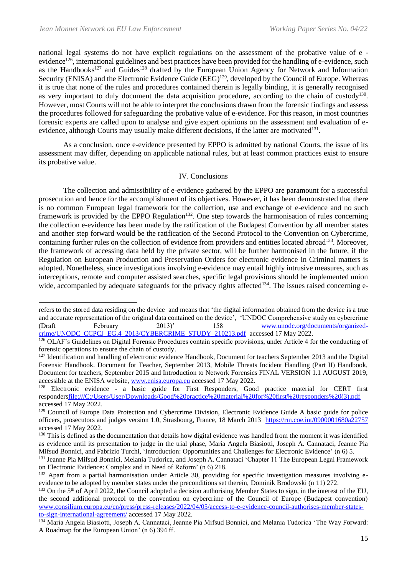national legal systems do not have explicit regulations on the assessment of the probative value of e evidence<sup>126</sup>, international guidelines and best practices have been provided for the handling of e-evidence, such as the Handbooks<sup>127</sup> and Guides<sup>128</sup> drafted by the European Union Agency for Network and Information Security (ENISA) and the Electronic Evidence Guide (EEG)<sup>129</sup>, developed by the Council of Europe. Whereas it is true that none of the rules and procedures contained therein is legally binding, it is generally recognised as very important to duly document the data acquisition procedure, according to the chain of custody<sup>130</sup>. However, most Courts will not be able to interpret the conclusions drawn from the forensic findings and assess the procedures followed for safeguarding the probative value of e-evidence. For this reason, in most countries forensic experts are called upon to analyse and give expert opinions on the assessment and evaluation of eevidence, although Courts may usually make different decisions, if the latter are motivated<sup>131</sup>.

As a conclusion, once e-evidence presented by EPPO is admitted by national Courts, the issue of its assessment may differ, depending on applicable national rules, but at least common practices exist to ensure its probative value.

#### IV. Conclusions

The collection and admissibility of e-evidence gathered by the EPPO are paramount for a successful prosecution and hence for the accomplishment of its objectives. However, it has been demonstrated that there is no common European legal framework for the collection, use and exchange of e-evidence and no such framework is provided by the EPPO Regulation<sup>132</sup>. One step towards the harmonisation of rules concerning the collection e-evidence has been made by the ratification of the Budapest Convention by all member states and another step forward would be the ratification of the Second Protocol to the Convention on Cybercrime, containing further rules on the collection of evidence from providers and entities located abroad<sup>133</sup>. Moreover, the framework of accessing data held by the private sector, will be further harmonised in the future, if the Regulation on European Production and Preservation Orders for electronic evidence in Criminal matters is adopted. Nonetheless, since investigations involving e-evidence may entail highly intrusive measures, such as interceptions, remote and computer assisted searches, specific legal provisions should be implemented union wide, accompanied by adequate safeguards for the privacy rights affected<sup>134</sup>. The issues raised concerning e-

refers to the stored data residing on the device and means that 'the digital information obtained from the device is a true and accurate representation of the original data contained on the device', 'UNDOC Comprehensive study on cybercrime (Draft February 2013)' 158 [www.unodc.org/documents/organized](http://www.unodc.org/documents/organized-crime/UNODC_CCPCJ_EG.4_2013/CYBERCRIME_STUDY_210213.pdf)[crime/UNODC\\_CCPCJ\\_EG.4\\_2013/CYBERCRIME\\_STUDY\\_210213.pdf](http://www.unodc.org/documents/organized-crime/UNODC_CCPCJ_EG.4_2013/CYBERCRIME_STUDY_210213.pdf) accessed 17 May 2022.

<sup>&</sup>lt;sup>126</sup> OLAF's Guidelines on Digital Forensic Procedures contain specific provisions, under Article 4 for the conducting of forensic operations to ensure the chain of custody.

<sup>&</sup>lt;sup>127</sup> Identification and handling of electronic evidence Handbook, Document for teachers September 2013 and the Digital Forensic Handbook. Document for Teacher, September 2013, Mobile Threats Incident Handling (Part II) Handbook, Document for teachers, September 2015 and Introduction to Network Forensics FINAL VERSION 1.1 AUGUST 2019, accessible at the ENISA website[, www.enisa.europa.eu](http://www.enisa.europa.eu/) accessed 17 May 2022.

<sup>&</sup>lt;sup>128</sup> Electronic evidence - a basic guide for First Responders, Good practice material for CERT first responder[sfile:///C:/Users/User/Downloads/Good%20practice%20material%20for%20first%20responders%20\(3\).pdf](file:///C:/Users/User/Downloads/Good%20practice%20material%20for%20first%20responders%20(3).pdf) accessed 17 May 2022.

<sup>&</sup>lt;sup>129</sup> Council of Europe Data Protection and Cybercrime Division, Electronic Evidence Guide A basic guide for police officers, prosecutors and judges version 1.0, Strasbourg, France, 18 March 2013 <https://rm.coe.int/0900001680a22757> accessed 17 May 2022.

<sup>&</sup>lt;sup>130</sup> This is defined as the documentation that details how digital evidence was handled from the moment it was identified as evidence until its presentation to judge in the trial phase, Maria Angela Biasiotti, Joseph A. Cannataci, Jeanne Pia Mifsud Bonnici, and Fabrizio Turchi, 'Introduction: Opportunities and Challenges for Electronic Evidence' (n 6) 5.

<sup>&</sup>lt;sup>131</sup> Jeanne Pia Mifsud Bonnici, Melania Tudorica, and Joseph A. Cannataci 'Chapter 11 The European Legal Framework on Electronic Evidence: Complex and in Need of Reform' (n 6) 218.

<sup>&</sup>lt;sup>132</sup> Apart from a partial harmonisation under Article 30, providing for specific investigation measures involving eevidence to be adopted by member states under the preconditions set therein, Dominik Brodowski (n 11) 272.

 $^{133}$  On the 5<sup>th</sup> of April 2022, the Council adopted a decision authorising Member States to sign, in the interest of the EU. the second additional protocol to the convention on cybercrime of the Council of Europe (Budapest convention) [www.consilium.europa.eu/en/press/press-releases/2022/04/05/access-to-e-evidence-council-authorises-member-states](http://www.consilium.europa.eu/en/press/press-releases/2022/04/05/access-to-e-evidence-council-authorises-member-states-to-sign-international-agreement/)[to-sign-international-agreement/](http://www.consilium.europa.eu/en/press/press-releases/2022/04/05/access-to-e-evidence-council-authorises-member-states-to-sign-international-agreement/) accessed 17 May 2022.

<sup>134</sup> Maria Angela Biasiotti, Joseph A. Cannataci, Jeanne Pia Mifsud Bonnici, and Melania Tudorica 'The Way Forward: A Roadmap for the European Union' (n 6) 394 ff.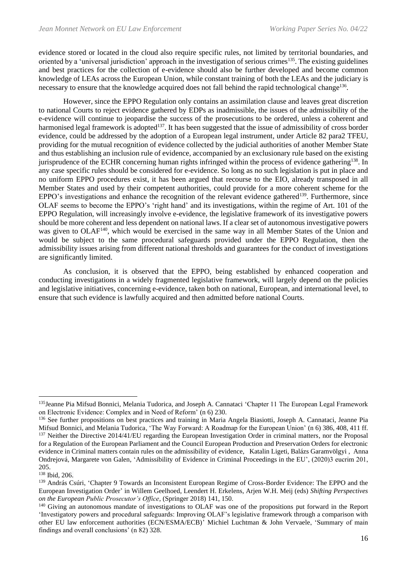evidence stored or located in the cloud also require specific rules, not limited by territorial boundaries, and oriented by a 'universal jurisdiction' approach in the investigation of serious crimes<sup>135</sup>. The existing guidelines and best practices for the collection of e-evidence should also be further developed and become common knowledge of LEAs across the European Union, while constant training of both the LEAs and the judiciary is necessary to ensure that the knowledge acquired does not fall behind the rapid technological change<sup>136</sup>.

However, since the EPPO Regulation only contains an assimilation clause and leaves great discretion to national Courts to reject evidence gathered by EDPs as inadmissible, the issues of the admissibility of the e-evidence will continue to jeopardise the success of the prosecutions to be ordered, unless a coherent and harmonised legal framework is adopted<sup>137</sup>. It has been suggested that the issue of admissibility of cross border evidence, could be addressed by the adoption of a European legal instrument, under Article 82 para2 TFEU, providing for the mutual recognition of evidence collected by the judicial authorities of another Member State and thus establishing an inclusion rule of evidence, accompanied by an exclusionary rule based on the existing jurisprudence of the ECHR concerning human rights infringed within the process of evidence gathering<sup>138</sup>. In any case specific rules should be considered for e-evidence. So long as no such legislation is put in place and no uniform EPPO procedures exist, it has been argued that recourse to the EIO, already transposed in all Member States and used by their competent authorities, could provide for a more coherent scheme for the EPPO's investigations and enhance the recognition of the relevant evidence gathered<sup>139</sup>. Furthermore, since OLAF seems to become the EPPO's 'right hand' and its investigations, within the regime of Art. 101 of the EPPO Regulation, will increasingly involve e-evidence, the legislative framework of its investigative powers should be more coherent and less dependent on national laws. If a clear set of autonomous investigative powers was given to OLAF<sup>140</sup>, which would be exercised in the same way in all Member States of the Union and would be subject to the same procedural safeguards provided under the EPPO Regulation, then the admissibility issues arising from different national thresholds and guarantees for the conduct of investigations are significantly limited.

As conclusion, it is observed that the EPPO, being established by enhanced cooperation and conducting investigations in a widely fragmented legislative framework, will largely depend on the policies and legislative initiatives, concerning e-evidence, taken both on national, European, and international level, to ensure that such evidence is lawfully acquired and then admitted before national Courts.

<sup>&</sup>lt;sup>135</sup>Jeanne Pia Mifsud Bonnici, Melania Tudorica, and Joseph A. Cannataci 'Chapter 11 The European Legal Framework on Electronic Evidence: Complex and in Need of Reform' (n 6) 230.

<sup>136</sup> See further propositions on best practices and training in Maria Angela Biasiotti, Joseph A. Cannataci, Jeanne Pia Mifsud Bonnici, and Melania Tudorica, 'The Way Forward: A Roadmap for the European Union' (n 6) 386, 408, 411 ff. <sup>137</sup> Neither the Directive 2014/41/EU regarding the European Investigation Order in criminal matters, nor the Proposal for a Regulation of the European Parliament and the Council European Production and Preservation Orders for electronic evidence in Criminal matters contain rules on the admissibility of evidence, [Katalin Ligeti,](https://eucrim.eu/authors/garamvolgyi-balazs/) [Balázs Garamvölgyi](https://eucrim.eu/authors/garamvolgyi-balazs/) , [Anna](https://eucrim.eu/authors/ondrejova-anna/)  [Ondrejová,](https://eucrim.eu/authors/ondrejova-anna/) [Margarete von Galen,](https://eucrim.eu/authors/von-galen-margarete/) 'Admissibility of Evidence in Criminal Proceedings in the EU', (2020)3 eucrim 201, 205.

<sup>138</sup> Ibid, 206.

<sup>&</sup>lt;sup>139</sup> András Csúri, 'Chapter 9 Towards an Inconsistent European Regime of Cross-Border Evidence: The EPPO and the European Investigation Order' in Willem Geelhoed, Leendert H. Erkelens, Arjen W.H. Meij (eds) *Shifting Perspectives on the European Public Prosecutor's Office,* (Springer 2018) 141, 150.

<sup>&</sup>lt;sup>140</sup> Giving an autonomous mandate of investigations to OLAF was one of the propositions put forward in the Report 'Investigatory powers and procedural safeguards: Improving OLAF's legislative framework through a comparison with other EU law enforcement authorities (ECN/ESMA/ECB)' Michiel Luchtman & John Vervaele, 'Summary of main findings and overall conclusions' (n 82) 328.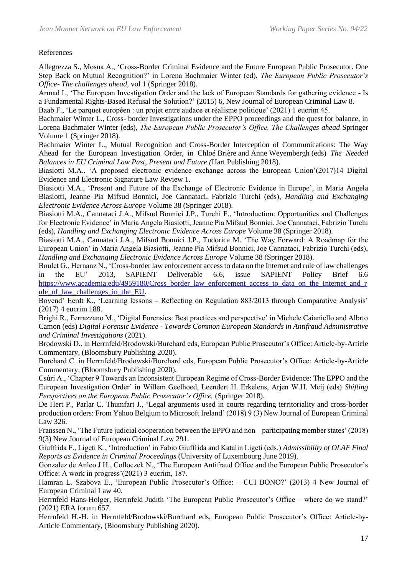## References

Allegrezza S., Mosna A., 'Cross-Border Criminal Evidence and the Future European Public Prosecutor. One Step Back on Mutual Recognition?' in Lorena Bachmaier Winter (ed), *The European Public Prosecutor's Office- The challenges ahead,* vol 1 (Springer 2018).

Armad I., 'The European Investigation Order and the lack of European Standards for gathering evidence - Is a Fundamental Rights-Based Refusal the Solution?' (2015) 6, New Journal of European Criminal Law 8. Baab F., 'Le parquet européen : un projet entre audace et réalisme politique' (2021) 1 eucrim 45.

Bachmaier Winter L., Cross- border Investigations under the EPPO proceedings and the quest for balance, in Lorena Bachmaier Winter (eds), *The European Public Prosecutor's Office, The Challenges ahead* Springer Volume 1 (Springer 2018).

Bachmaier Winter L., Mutual Recognition and Cross-Border Interception of Communications: The Way Ahead for the European Investigation Order, in Chloé Brière and Anne Weyembergh (eds) *The Needed Balances in EU Criminal Law Past, Present and Future (*Hart Publishing 2018).

Biasiotti M.A., 'A proposed electronic evidence exchange across the European Union'(2017)14 Digital Evidence and Electronic Signature Law Review 1.

Biasiotti M.A., 'Present and Future of the Exchange of Electronic Evidence in Europe', in Maria Angela Biasiotti, Jeanne Pia Mifsud Bonnici, Joe Cannataci, Fabrizio Turchi (eds), *Handling and Exchanging Electronic Evidence Across Europe* Volume 38 (Springer 2018).

Biasiotti M.A., Cannataci J.A., Mifsud Bonnici J.P., Turchi F., 'Introduction: Opportunities and Challenges for Electronic Evidence' in Maria Angela Biasiotti, Jeanne Pia Mifsud Bonnici, Joe Cannataci, Fabrizio Turchi (eds), *Handling and Exchanging Electronic Evidence Across Europe* Volume 38 (Springer 2018).

Biasiotti M.A., Cannataci J.A., Mifsud Bonnici J.P., Tudorica M. 'The Way Forward: A Roadmap for the European Union' in Maria Angela Biasiotti, Jeanne Pia Mifsud Bonnici, Joe Cannataci, Fabrizio Turchi (eds), *Handling and Exchanging Electronic Evidence Across Europe* Volume 38 (Springer 2018).

Boulet G., Hernanz N., 'Cross-border law enforcement access to data on the Internet and rule of law challenges in the EU' 2013, SAPIENT Deliverable 6.6, issue SAPIENT Policy Brief 6.6 [https://www.academia.edu/4959180/Cross\\_border\\_law\\_enforcement\\_access\\_to\\_data\\_on\\_the\\_Internet\\_and\\_r](https://www.academia.edu/4959180/Cross_border_law_enforcement_access_to_data_on_the_Internet_and_rule_of_law_challenges_in_the_EU) ule of law challenges in the EU.

Bovend' Eerdt K., 'Learning lessons – Reflecting on Regulation 883/2013 through Comparative Analysis' (2017) 4 eucrim 188.

Brighi R., Ferrazzano M., 'Digital Forensics: Best practices and perspective' in Michele Caianiello and Albrto Camon (eds) *Digital Forensic Evidence - Towards Common European Standards in Antifraud Administrative and Criminal Investigations* (2021).

Brodowski D., in Herrnfeld/Brodowski/Burchard eds, European Public Prosecutor's Office: Article-by-Article Commentary, (Bloomsbury Publishing 2020).

Burchard C. in Herrnfeld/Brodowski/Burchard eds, European Public Prosecutor's Office: Article-by-Article Commentary, (Bloomsbury Publishing 2020).

Csúri A., 'Chapter 9 Towards an Inconsistent European Regime of Cross-Border Evidence: The EPPO and the European Investigation Order' in Willem Geelhoed, Leendert H. Erkelens, Arjen W.H. Meij (eds) *Shifting Perspectives on the European Public Prosecutor's Office.* (Springer 2018).

De Hert P., Parlar C. Thumfart J., 'Legal arguments used in courts regarding territoriality and cross-border production orders: From Yahoo Belgium to Microsoft Ireland' (2018) 9 (3) New Journal of European Criminal Law 326.

Franssen N., 'The Future judicial cooperation between the EPPO and non – participating member states' (2018) 9(3) New Journal of European Criminal Law 291.

Giuffrida F., Ligeti K., 'Introduction' in Fabio Giuffrida and Katalin Ligeti (eds.) *Admissibility of OLAF Final Reports as Evidence in Criminal Proceedings* (University of Luxembourg June 2019).

Gonzalez de Anleo J H., Colloczek N., 'The European Antifraud Office and the European Public Prosecutor's Office: A work in progress'(2021) 3 eucrim, 187.

Hamran L. Szabova E., 'European Public Prosecutor's Office: – CUI BONO?' (2013) 4 New Journal of European Criminal Law 40.

Herrnfeld Hans-Holger, Herrnfeld Judith 'The European Public Prosecutor's Office – where do we stand?' (2021) ERA forum 657.

Herrnfeld H.-H. in Herrnfeld/Brodowski/Burchard eds, European Public Prosecutor's Office: Article-by-Article Commentary, (Bloomsbury Publishing 2020).